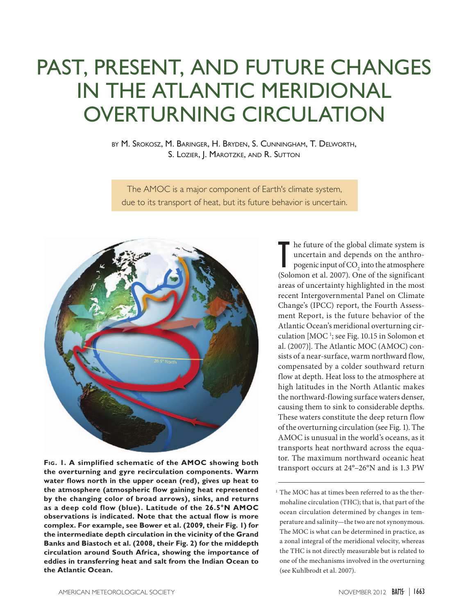## Past, Present, and Future Changes in the Atlantic Meridional OVERTURNING CIRCULATION

by M. Srokosz, M. Baringer, H. Bryden, S. Cunningham, T. Delworth, S. LOZIER, J. MAROTZKE, AND R. SUTTON

The AMOC is a major component of Earth's climate system, due to its transport of heat, but its future behavior is uncertain.



Fig. 1. A simplified schematic of the AMOC showing both transport occurs at 24°–26°N and is 1.3 PW **the overturning and gyre recirculation components. Warm water flows north in the upper ocean (red), gives up heat to the atmosphere (atmospheric flow gaining heat represented by the changing color of broad arrows), sinks, and returns as a deep cold flow (blue). Latitude of the 26.5°N AMOC observations is indicated. Note that the actual flow is more complex. For example, see Bower et al. (2009, their Fig. 1) for the intermediate depth circulation in the vicinity of the Grand Banks and Biastoch et al. (2008, their Fig. 2) for the middepth circulation around South Africa, showing the importance of eddies in transferring heat and salt from the Indian Ocean to the Atlantic Ocean.**

The future of the global climate system is<br>uncertain and depends on the anthro-<br>pogenic input of  $CO_2$  into the atmosphere<br>(Solomon et al. 2007). One of the significant he future of the global climate system is uncertain and depends on the anthropogenic input of  $\mathrm{CO}_2$  into the atmosphere areas of uncertainty highlighted in the most recent Intergovernmental Panel on Climate Change's (IPCC) report, the Fourth Assessment Report, is the future behavior of the Atlantic Ocean's meridional overturning circulation [MOC<sup>1</sup>; see Fig. 10.15 in Solomon et al. (2007)]. The Atlantic MOC (AMOC) consists of a near-surface, warm northward flow, compensated by a colder southward return flow at depth. Heat loss to the atmosphere at high latitudes in the North Atlantic makes the northward-flowing surface waters denser, causing them to sink to considerable depths. These waters constitute the deep return flow of the overturning circulation (see Fig. 1). The AMOC is unusual in the world's oceans, as it transports heat northward across the equator. The maximum northward oceanic heat

 $1$  The MOC has at times been referred to as the thermohaline circulation (THC); that is, that part of the ocean circulation determined by changes in temperature and salinity—the two are not synonymous. The MOC is what can be determined in practice, as a zonal integral of the meridional velocity, whereas the THC is not directly measurable but is related to one of the mechanisms involved in the overturning (see Kuhlbrodt et al. 2007).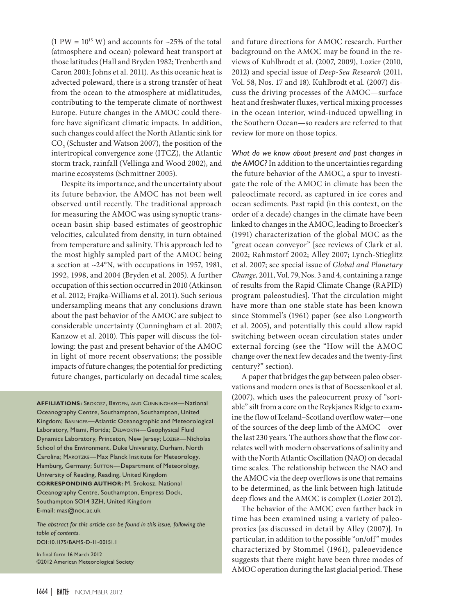(1 PW =  $10^{15}$  W) and accounts for ~25% of the total (atmosphere and ocean) poleward heat transport at those latitudes (Hall and Bryden 1982; Trenberth and Caron 2001; Johns et al. 2011). As this oceanic heat is advected poleward, there is a strong transfer of heat from the ocean to the atmosphere at midlatitudes, contributing to the temperate climate of northwest Europe. Future changes in the AMOC could therefore have significant climatic impacts. In addition, such changes could affect the North Atlantic sink for  $\mathrm{CO}_\mathrm{2}$  (Schuster and Watson 2007), the position of the intertropical convergence zone (ITCZ), the Atlantic storm track, rainfall (Vellinga and Wood 2002), and marine ecosystems (Schmittner 2005).

Despite its importance, and the uncertainty about its future behavior, the AMOC has not been well observed until recently. The traditional approach for measuring the AMOC was using synoptic transocean basin ship-based estimates of geostrophic velocities, calculated from density, in turn obtained from temperature and salinity. This approach led to the most highly sampled part of the AMOC being a section at ~24°N, with occupations in 1957, 1981, 1992, 1998, and 2004 (Bryden et al. 2005). A further occupation of this section occurred in 2010 (Atkinson et al. 2012; Frajka-Williams et al. 2011). Such serious undersampling means that any conclusions drawn about the past behavior of the AMOC are subject to considerable uncertainty (Cunningham et al. 2007; Kanzow et al. 2010). This paper will discuss the following: the past and present behavior of the AMOC in light of more recent observations; the possible impacts of future changes; the potential for predicting future changes, particularly on decadal time scales;

**Affiliations:** Srokosz, Bryden, and Cunningham—National Oceanography Centre, Southampton, Southampton, United Kingdom; Baringer—Atlantic Oceanographic and Meteorological Laboratory, Miami, Florida; Delworth—Geophysical Fluid Dynamics Laboratory, Princeton, New Jersey; Lozier—Nicholas School of the Environment, Duke University, Durham, North Carolina; MAROTZKE-Max Planck Institute for Meteorology, Hamburg, Germany; SUTTON-Department of Meteorology, University of Reading, Reading, United Kingdom **Corresponding author:** M. Srokosz, National Oceanography Centre, Southampton, Empress Dock, Southampton SO14 3ZH, United Kingdom E-mail: [mas@noc.ac.uk](mailto:mas%40noc.ac.uk?subject=)

*The abstract for this article can be found in this issue, following the table of contents.* [DOI:10.1175/BAMS-D-11-00151.1](http://dx.doi.org/10.1175/BAMS-D-11-00151.1)

In final form 16 March 2012 ©2012 American Meteorological Society and future directions for AMOC research. Further background on the AMOC may be found in the reviews of Kuhlbrodt et al. (2007, 2009), Lozier (2010, 2012) and special issue of *Deep-Sea Research* (2011, Vol. 58, Nos. 17 and 18). Kuhlbrodt et al. (2007) discuss the driving processes of the AMOC—surface heat and freshwater fluxes, vertical mixing processes in the ocean interior, wind-induced upwelling in the Southern Ocean—so readers are referred to that review for more on those topics.

*What do we know about present and past changes in the AMOC?* In addition to the uncertainties regarding the future behavior of the AMOC, a spur to investigate the role of the AMOC in climate has been the paleoclimate record, as captured in ice cores and ocean sediments. Past rapid (in this context, on the order of a decade) changes in the climate have been linked to changes in the AMOC, leading to Broecker's (1991) characterization of the global MOC as the "great ocean conveyor" [see reviews of Clark et al. 2002; Rahmstorf 2002; Alley 2007; Lynch-Stieglitz et al. 2007; see special issue of *Global and Planetary Change,* 2011, Vol. 79, Nos. 3 and 4, containing a range of results from the Rapid Climate Change (RAPID) program paleostudies]. That the circulation might have more than one stable state has been known since Stommel's (1961) paper (see also Longworth et al. 2005), and potentially this could allow rapid switching between ocean circulation states under external forcing (see the "How will the AMOC change over the next few decades and the twenty-first century?" section).

A paper that bridges the gap between paleo observations and modern ones is that of Boessenkool et al. (2007), which uses the paleocurrent proxy of "sortable" silt from a core on the Reykjanes Ridge to examine the flow of Iceland–Scotland overflow water—one of the sources of the deep limb of the AMOC—over the last 230 years. The authors show that the flow correlates well with modern observations of salinity and with the North Atlantic Oscillation (NAO) on decadal time scales. The relationship between the NAO and the AMOC via the deep overflows is one that remains to be determined, as the link between high-latitude deep flows and the AMOC is complex (Lozier 2012).

The behavior of the AMOC even farther back in time has been examined using a variety of paleoproxies [as discussed in detail by Alley (2007)]. In particular, in addition to the possible "on/off" modes characterized by Stommel (1961), paleoevidence suggests that there might have been three modes of AMOC operation during the last glacial period. These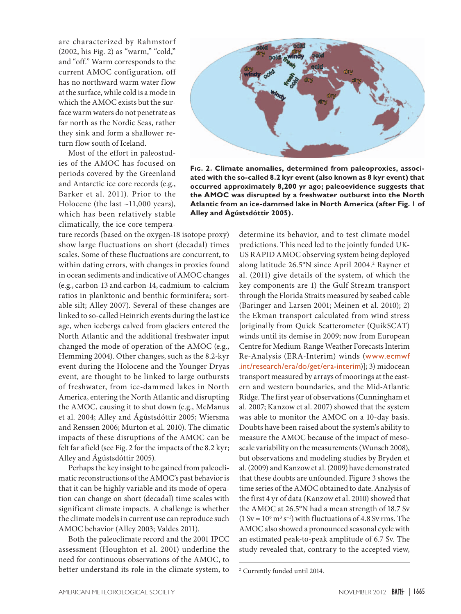are characterized by Rahmstorf (2002, his Fig. 2) as "warm," "cold," and "off." Warm corresponds to the current AMOC configuration, off has no northward warm water flow at the surface, while cold is a mode in which the AMOC exists but the surface warm waters do not penetrate as far north as the Nordic Seas, rather they sink and form a shallower return flow south of Iceland.

Most of the effort in paleostudies of the AMOC has focused on periods covered by the Greenland and Antarctic ice core records (e.g., Barker et al. 2011). Prior to the Holocene (the last ~11,000 years), which has been relatively stable climatically, the ice core tempera-

ture records (based on the oxygen-18 isotope proxy) show large fluctuations on short (decadal) times scales. Some of these fluctuations are concurrent, to within dating errors, with changes in proxies found in ocean sediments and indicative of AMOC changes (e.g., carbon-13 and carbon-14, cadmium-to-calcium ratios in planktonic and benthic forminifera; sortable silt; Alley 2007). Several of these changes are linked to so-called Heinrich events during the last ice age, when icebergs calved from glaciers entered the North Atlantic and the additional freshwater input changed the mode of operation of the AMOC (e.g., Hemming 2004). Other changes, such as the 8.2-kyr event during the Holocene and the Younger Dryas event, are thought to be linked to large outbursts of freshwater, from ice-dammed lakes in North America, entering the North Atlantic and disrupting the AMOC, causing it to shut down (e.g., McManus et al. 2004; Alley and Ágústsdóttir 2005; Wiersma and Renssen 2006; Murton et al. 2010). The climatic impacts of these disruptions of the AMOC can be felt far afield (see Fig. 2 for the impacts of the 8.2 kyr; Alley and Ágústsdóttir 2005).

Perhaps the key insight to be gained from paleoclimatic reconstructions of the AMOC's past behavior is that it can be highly variable and its mode of operation can change on short (decadal) time scales with significant climate impacts. A challenge is whether the climate models in current use can reproduce such AMOC behavior (Alley 2003; Valdes 2011).

Both the paleoclimate record and the 2001 IPCC assessment (Houghton et al. 2001) underline the need for continuous observations of the AMOC, to better understand its role in the climate system, to



**Fig. 2. Climate anomalies, determined from paleoproxies, associated with the so-called 8.2 kyr event (also known as 8 kyr event) that occurred approximately 8,200 yr ago; paleoevidence suggests that the AMOC was disrupted by a freshwater outburst into the North Atlantic from an ice-dammed lake in North America (after Fig. 1 of Alley and Ágústsdóttir 2005).**

determine its behavior, and to test climate model predictions. This need led to the jointly funded UK-US RAPID AMOC observing system being deployed along latitude 26.5°N since April 2004.<sup>2</sup> Rayner et al. (2011) give details of the system, of which the key components are 1) the Gulf Stream transport through the Florida Straits measured by seabed cable (Baringer and Larsen 2001; Meinen et al. 2010); 2) the Ekman transport calculated from wind stress [originally from Quick Scatterometer (QuikSCAT) winds until its demise in 2009; now from European Centre for Medium-Range Weather Forecasts Interim Re-Analysis (ERA-Interim) winds ([www.ecmwf](http://www.ecmwf.int/research/era/do/get/era-interim) [.int/research/era/do/get/era-interim](http://www.ecmwf.int/research/era/do/get/era-interim))]; 3) midocean transport measured by arrays of moorings at the eastern and western boundaries, and the Mid-Atlantic Ridge. The first year of observations (Cunningham et al. 2007; Kanzow et al. 2007) showed that the system was able to monitor the AMOC on a 10-day basis. Doubts have been raised about the system's ability to measure the AMOC because of the impact of mesoscale variability on the measurements (Wunsch 2008), but observations and modeling studies by Bryden et al. (2009) and Kanzow et al. (2009) have demonstrated that these doubts are unfounded. Figure 3 shows the time series of the AMOC obtained to date. Analysis of the first 4 yr of data (Kanzow et al. 2010) showed that the AMOC at 26.5°N had a mean strength of 18.7 Sv  $(1 \text{ Sv} = 10^6 \text{ m}^3 \text{ s}^{-1})$  with fluctuations of 4.8 Sv rms. The AMOC also showed a pronounced seasonal cycle with an estimated peak-to-peak amplitude of 6.7 Sv. The study revealed that, contrary to the accepted view,

<sup>2</sup> Currently funded until 2014.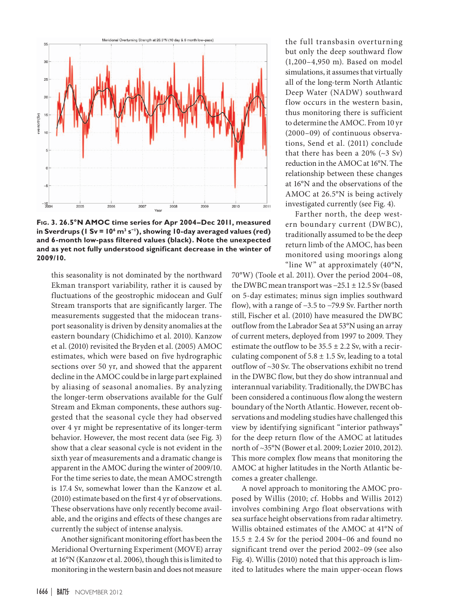

**Fig. 3. 26.5°N AMOC time series for Apr 2004–Dec 2011, measured in Sverdrups (1 Sv = 106 m3 s−1), showing 10-day averaged values (red) and 6-month low-pass filtered values (black). Note the unexpected and as yet not fully understood significant decrease in the winter of 2009/10.**

this seasonality is not dominated by the northward Ekman transport variability, rather it is caused by fluctuations of the geostrophic midocean and Gulf Stream transports that are significantly larger. The measurements suggested that the midocean transport seasonality is driven by density anomalies at the eastern boundary (Chidichimo et al. 2010). Kanzow et al. (2010) revisited the Bryden et al. (2005) AMOC estimates, which were based on five hydrographic sections over 50 yr, and showed that the apparent decline in the AMOC could be in large part explained by aliasing of seasonal anomalies. By analyzing the longer-term observations available for the Gulf Stream and Ekman components, these authors suggested that the seasonal cycle they had observed over 4 yr might be representative of its longer-term behavior. However, the most recent data (see Fig. 3) show that a clear seasonal cycle is not evident in the sixth year of measurements and a dramatic change is apparent in the AMOC during the winter of 2009/10. For the time series to date, the mean AMOC strength is 17.4 Sv, somewhat lower than the Kanzow et al. (2010) estimate based on the first 4 yr of observations. These observations have only recently become available, and the origins and effects of these changes are currently the subject of intense analysis.

Another significant monitoring effort has been the Meridional Overturning Experiment (MOVE) array at 16°N (Kanzow et al. 2006), though this is limited to monitoring in the western basin and does not measure

the full transbasin overturning but only the deep southward flow (1,200–4,950 m). Based on model simulations, it assumes that virtually all of the long-term North Atlantic Deep Water (NADW) southward flow occurs in the western basin, thus monitoring there is sufficient to determine the AMOC. From 10 yr (2000–09) of continuous observations, Send et al. (2011) conclude that there has been a  $20\%$  ( $\sim$ 3 Sv) reduction in the AMOC at 16°N. The relationship between these changes at 16°N and the observations of the AMOC at 26.5°N is being actively investigated currently (see Fig. 4).

Farther north, the deep western boundary current (DWBC), traditionally assumed to be the deep return limb of the AMOC, has been monitored using moorings along "line W" at approximately (40°N,

70°W) (Toole et al. 2011). Over the period 2004–08, the DWBC mean transport was −25.1 ± 12.5 Sv (based on 5-day estimates; minus sign implies southward flow), with a range of −3.5 to −79.9 Sv. Farther north still, Fischer et al. (2010) have measured the DWBC outflow from the Labrador Sea at 53°N using an array of current meters, deployed from 1997 to 2009. They estimate the outflow to be  $35.5 \pm 2.2$  Sv, with a recirculating component of  $5.8 \pm 1.5$  Sv, leading to a total outflow of ~30 Sv. The observations exhibit no trend in the DWBC flow, but they do show intrannual and interannual variability. Traditionally, the DWBC has been considered a continuous flow along the western boundary of the North Atlantic. However, recent observations and modeling studies have challenged this view by identifying significant "interior pathways" for the deep return flow of the AMOC at latitudes north of ~35°N (Bower et al. 2009; Lozier 2010, 2012). This more complex flow means that monitoring the AMOC at higher latitudes in the North Atlantic becomes a greater challenge.

A novel approach to monitoring the AMOC proposed by Willis (2010; cf. Hobbs and Willis 2012) involves combining Argo float observations with sea surface height observations from radar altimetry. Willis obtained estimates of the AMOC at 41°N of  $15.5 \pm 2.4$  Sv for the period 2004–06 and found no significant trend over the period 2002–09 (see also Fig. 4). Willis (2010) noted that this approach is limited to latitudes where the main upper-ocean flows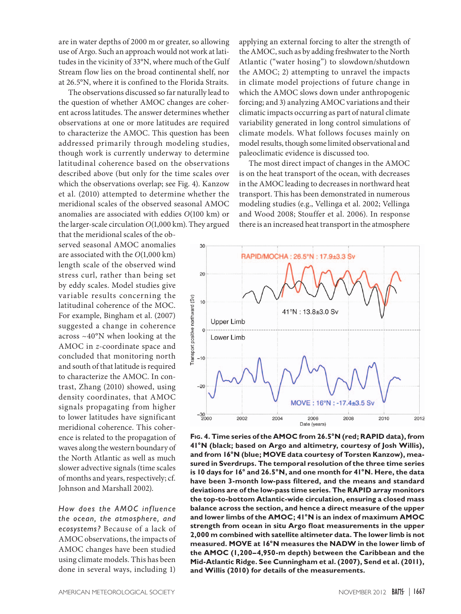are in water depths of 2000 m or greater, so allowing use of Argo. Such an approach would not work at latitudes in the vicinity of 33°N, where much of the Gulf Stream flow lies on the broad continental shelf, nor at 26.5°N, where it is confined to the Florida Straits.

The observations discussed so far naturally lead to the question of whether AMOC changes are coherent across latitudes. The answer determines whether observations at one or more latitudes are required to characterize the AMOC. This question has been addressed primarily through modeling studies, though work is currently underway to determine latitudinal coherence based on the observations described above (but only for the time scales over which the observations overlap; see Fig. 4). Kanzow et al. (2010) attempted to determine whether the meridional scales of the observed seasonal AMOC anomalies are associated with eddies *O*(100 km) or the larger-scale circulation *O*(1,000 km). They argued

that the meridional scales of the observed seasonal AMOC anomalies are associated with the *O*(1,000 km) length scale of the observed wind stress curl, rather than being set by eddy scales. Model studies give variable results concerning the latitudinal coherence of the MOC. For example, Bingham et al. (2007) suggested a change in coherence across ~40°N when looking at the AMOC in *z*-coordinate space and concluded that monitoring north and south of that latitude is required to characterize the AMOC. In contrast, Zhang (2010) showed, using density coordinates, that AMOC signals propagating from higher to lower latitudes have significant meridional coherence. This coherence is related to the propagation of waves along the western boundary of the North Atlantic as well as much slower advective signals (time scales of months and years, respectively; cf. Johnson and Marshall 2002).

*How does the AMOC inf luence the ocean, the atmosphere, and ecosystems?* Because of a lack of AMOC observations, the impacts of AMOC changes have been studied using climate models. This has been done in several ways, including 1)

applying an external forcing to alter the strength of the AMOC, such as by adding freshwater to the North Atlantic ("water hosing") to slowdown/shutdown the AMOC; 2) attempting to unravel the impacts in climate model projections of future change in which the AMOC slows down under anthropogenic forcing; and 3) analyzing AMOC variations and their climatic impacts occurring as part of natural climate variability generated in long control simulations of climate models. What follows focuses mainly on model results, though some limited observational and paleoclimatic evidence is discussed too.

The most direct impact of changes in the AMOC is on the heat transport of the ocean, with decreases in the AMOC leading to decreases in northward heat transport. This has been demonstrated in numerous modeling studies (e.g., Vellinga et al. 2002; Vellinga and Wood 2008; Stouffer et al. 2006). In response there is an increased heat transport in the atmosphere



**Fig. 4. Time series of the AMOC from 26.5°N (red; RAPID data), from 41°N (black; based on Argo and altimetry, courtesy of Josh Willis), and from 16°N (blue; MOVE data courtesy of Torsten Kanzow), measured in Sverdrups. The temporal resolution of the three time series is 10 days for 16° and 26.5°N, and one month for 41°N. Here, the data have been 3-month low-pass filtered, and the means and standard deviations are of the low-pass time series. The RAPID array monitors the top-to-bottom Atlantic-wide circulation, ensuring a closed mass balance across the section, and hence a direct measure of the upper and lower limbs of the AMOC; 41°N is an index of maximum AMOC strength from ocean in situ Argo float measurements in the upper 2,000 m combined with satellite altimeter data. The lower limb is not measured. MOVE at 16°N measures the NADW in the lower limb of the AMOC (1,200–4,950-m depth) between the Caribbean and the Mid-Atlantic Ridge. See Cunningham et al. (2007), Send et al. (2011), and Willis (2010) for details of the measurements.**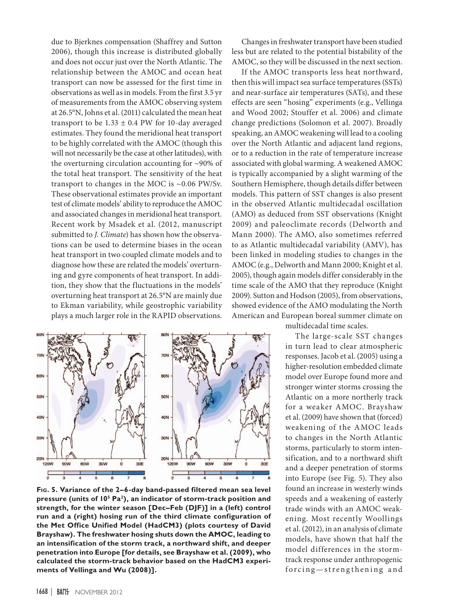due to Bjerknes compensation (Shaffrey and Sutton 2006), though this increase is distributed globally and does not occur just over the North Atlantic. The relationship between the AMOC and ocean heat transport can now be assessed for the first time in observations as well as in models. From the first 3.5 yr of measurements from the AMOC observing system at 26.5°N, Johns et al. (2011) calculated the mean heat transport to be  $1.33 \pm 0.4$  PW for 10-day averaged estimates. They found the meridional heat transport to be highly correlated with the AMOC (though this will not necessarily be the case at other latitudes), with the overturning circulation accounting for ~90% of the total heat transport. The sensitivity of the heat transport to changes in the MOC is ~0.06 PW/Sv. These observational estimates provide an important test of climate models' ability to reproduce the AMOC and associated changes in meridional heat transport. Recent work by Msadek et al. (2012, manuscript submitted to *J. Climate*) has shown how the observations can be used to determine biases in the ocean heat transport in two coupled climate models and to diagnose how these are related the models' overturning and gyre components of heat transport. In addition, they show that the fluctuations in the models' overturning heat transport at 26.5°N are mainly due to Ekman variability, while geostrophic variability plays a much larger role in the RAPID observations.



**Fig. 5. Variance of the 2–6-day band-passed filtered mean sea level pressure (units of 105 Pa2), an indicator of storm-track position and strength, for the winter season [Dec–Feb (DJF)] in a (left) control run and a (right) hosing run of the third climate configuration of the Met Office Unified Model (HadCM3) (plots courtesy of David Brayshaw). The freshwater hosing shuts down the AMOC, leading to an intensification of the storm track, a northward shift, and deeper penetration into Europe [for details, see Brayshaw et al. (2009), who calculated the storm-track behavior based on the HadCM3 experiments of Vellinga and Wu (2008)].**

Changes in freshwater transport have been studied less but are related to the potential bistability of the AMOC, so they will be discussed in the next section.

If the AMOC transports less heat northward, then this will impact sea surface temperatures (SSTs) and near-surface air temperatures (SATs), and these effects are seen "hosing" experiments (e.g., Vellinga and Wood 2002; Stouffer et al. 2006) and climate change predictions (Solomon et al. 2007). Broadly speaking, an AMOC weakening will lead to a cooling over the North Atlantic and adjacent land regions, or to a reduction in the rate of temperature increase associated with global warming. A weakened AMOC is typically accompanied by a slight warming of the Southern Hemisphere, though details differ between models. This pattern of SST changes is also present in the observed Atlantic multidecadal oscillation (AMO) as deduced from SST observations (Knight 2009) and paleoclimate records (Delworth and Mann 2000). The AMO, also sometimes referred to as Atlantic multidecadal variability (AMV), has been linked in modeling studies to changes in the AMOC (e.g., Delworth and Mann 2000; Knight et al. 2005), though again models differ considerably in the time scale of the AMO that they reproduce (Knight 2009). Sutton and Hodson (2005), from observations, showed evidence of the AMO modulating the North American and European boreal summer climate on

multidecadal time scales.

The large-scale SST changes in turn lead to clear atmospheric responses. Jacob et al. (2005) using a higher-resolution embedded climate model over Europe found more and stronger winter storms crossing the Atlantic on a more northerly track for a weaker AMOC. Brayshaw et al. (2009) have shown that (forced) weakening of the AMOC leads to changes in the North Atlantic storms, particularly to storm intensification, and to a northward shift and a deeper penetration of storms into Europe (see Fig. 5). They also found an increase in westerly winds speeds and a weakening of easterly trade winds with an AMOC weakening. Most recently Woollings et al. (2012), in an analysis of climate models, have shown that half the model differences in the stormtrack response under anthropogenic forcing-strengthening and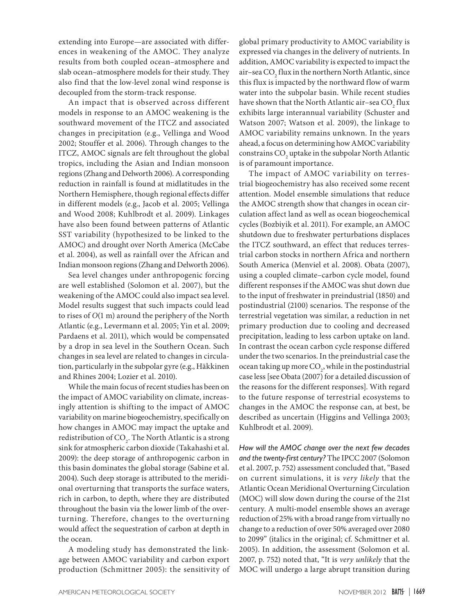extending into Europe—are associated with differences in weakening of the AMOC. They analyze results from both coupled ocean–atmosphere and slab ocean–atmosphere models for their study. They also find that the low-level zonal wind response is decoupled from the storm-track response.

An impact that is observed across different models in response to an AMOC weakening is the southward movement of the ITCZ and associated changes in precipitation (e.g., Vellinga and Wood 2002; Stouffer et al. 2006). Through changes to the ITCZ, AMOC signals are felt throughout the global tropics, including the Asian and Indian monsoon regions (Zhang and Delworth 2006). A corresponding reduction in rainfall is found at midlatitudes in the Northern Hemisphere, though regional effects differ in different models (e.g., Jacob et al. 2005; Vellinga and Wood 2008; Kuhlbrodt et al. 2009). Linkages have also been found between patterns of Atlantic SST variability (hypothesized to be linked to the AMOC) and drought over North America (McCabe et al. 2004), as well as rainfall over the African and Indian monsoon regions (Zhang and Delworth 2006).

Sea level changes under anthropogenic forcing are well established (Solomon et al. 2007), but the weakening of the AMOC could also impact sea level. Model results suggest that such impacts could lead to rises of *O*(1 m) around the periphery of the North Atlantic (e.g., Levermann et al. 2005; Yin et al. 2009; Pardaens et al. 2011), which would be compensated by a drop in sea level in the Southern Ocean. Such changes in sea level are related to changes in circulation, particularly in the subpolar gyre (e.g., Häkkinen and Rhines 2004; Lozier et al. 2010).

While the main focus of recent studies has been on the impact of AMOC variability on climate, increasingly attention is shifting to the impact of AMOC variability on marine biogeochemistry, specifically on how changes in AMOC may impact the uptake and redistribution of CO<sub>2</sub>. The North Atlantic is a strong sink for atmospheric carbon dioxide (Takahashi et al. 2009): the deep storage of anthropogenic carbon in this basin dominates the global storage (Sabine et al. 2004). Such deep storage is attributed to the meridional overturning that transports the surface waters, rich in carbon, to depth, where they are distributed throughout the basin via the lower limb of the overturning. Therefore, changes to the overturning would affect the sequestration of carbon at depth in the ocean.

A modeling study has demonstrated the linkage between AMOC variability and carbon export production (Schmittner 2005): the sensitivity of

global primary productivity to AMOC variability is expressed via changes in the delivery of nutrients. In addition, AMOC variability is expected to impact the air–sea CO<sub>2</sub> flux in the northern North Atlantic, since this flux is impacted by the northward flow of warm water into the subpolar basin. While recent studies have shown that the North Atlantic air–sea  $\mathrm{CO}_2^{\vphantom{\dagger}}$  flux exhibits large interannual variability (Schuster and Watson 2007; Watson et al. 2009), the linkage to AMOC variability remains unknown. In the years ahead, a focus on determining how AMOC variability constrains  $\mathrm{CO}_2$  uptake in the subpolar North Atlantic is of paramount importance.

The impact of AMOC variability on terrestrial biogeochemistry has also received some recent attention. Model ensemble simulations that reduce the AMOC strength show that changes in ocean circulation affect land as well as ocean biogeochemical cycles (Bozbiyik et al. 2011). For example, an AMOC shutdown due to freshwater perturbations displaces the ITCZ southward, an effect that reduces terrestrial carbon stocks in northern Africa and northern South America (Menviel et al. 2008). Obata (2007), using a coupled climate–carbon cycle model, found different responses if the AMOC was shut down due to the input of freshwater in preindustrial (1850) and postindustrial (2100) scenarios. The response of the terrestrial vegetation was similar, a reduction in net primary production due to cooling and decreased precipitation, leading to less carbon uptake on land. In contrast the ocean carbon cycle response differed under the two scenarios. In the preindustrial case the ocean taking up more  $\mathrm{CO}_2$ , while in the postindustrial case less [see Obata (2007) for a detailed discussion of the reasons for the different responses]. With regard to the future response of terrestrial ecosystems to changes in the AMOC the response can, at best, be described as uncertain (Higgins and Vellinga 2003; Kuhlbrodt et al. 2009).

*How will the AMOC change over the next few decades and the twenty-first century?* The IPCC 2007 (Solomon et al. 2007, p. 752) assessment concluded that, "Based on current simulations, it is *very likely* that the Atlantic Ocean Meridional Overturning Circulation (MOC) will slow down during the course of the 21st century. A multi-model ensemble shows an average reduction of 25% with a broad range from virtually no change to a reduction of over 50% averaged over 2080 to 2099" (italics in the original; cf. Schmittner et al. 2005). In addition, the assessment (Solomon et al. 2007, p. 752) noted that, "It is *very unlikely* that the MOC will undergo a large abrupt transition during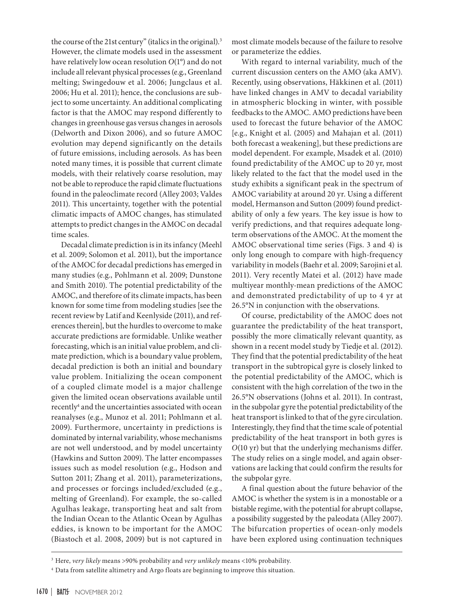the course of the 21st century" (italics in the original).<sup>3</sup> However, the climate models used in the assessment have relatively low ocean resolution *O*(1°) and do not include all relevant physical processes (e.g., Greenland melting; Swingedouw et al. 2006; Jungclaus et al. 2006; Hu et al. 2011); hence, the conclusions are subject to some uncertainty. An additional complicating factor is that the AMOC may respond differently to changes in greenhouse gas versus changes in aerosols (Delworth and Dixon 2006), and so future AMOC evolution may depend significantly on the details of future emissions, including aerosols. As has been noted many times, it is possible that current climate models, with their relatively coarse resolution, may not be able to reproduce the rapid climate fluctuations found in the paleoclimate record (Alley 2003; Valdes 2011). This uncertainty, together with the potential climatic impacts of AMOC changes, has stimulated attempts to predict changes in the AMOC on decadal time scales.

Decadal climate prediction is in its infancy (Meehl et al. 2009; Solomon et al. 2011), but the importance of the AMOC for decadal predictions has emerged in many studies (e.g., Pohlmann et al. 2009; Dunstone and Smith 2010). The potential predictability of the AMOC, and therefore of its climate impacts, has been known for some time from modeling studies [see the recent review by Latif and Keenlyside (2011), and references therein], but the hurdles to overcome to make accurate predictions are formidable. Unlike weather forecasting, which is an initial value problem, and climate prediction, which is a boundary value problem, decadal prediction is both an initial and boundary value problem. Initializing the ocean component of a coupled climate model is a major challenge given the limited ocean observations available until recently<sup>4</sup> and the uncertainties associated with ocean reanalyses (e.g., Munoz et al. 2011; Pohlmann et al. 2009). Furthermore, uncertainty in predictions is dominated by internal variability, whose mechanisms are not well understood, and by model uncertainty (Hawkins and Sutton 2009). The latter encompasses issues such as model resolution (e.g., Hodson and Sutton 2011; Zhang et al. 2011), parameterizations, and processes or forcings included/excluded (e.g., melting of Greenland). For example, the so-called Agulhas leakage, transporting heat and salt from the Indian Ocean to the Atlantic Ocean by Agulhas eddies, is known to be important for the AMOC (Biastoch et al. 2008, 2009) but is not captured in

most climate models because of the failure to resolve or parameterize the eddies.

With regard to internal variability, much of the current discussion centers on the AMO (aka AMV). Recently, using observations, Häkkinen et al. (2011) have linked changes in AMV to decadal variability in atmospheric blocking in winter, with possible feedbacks to the AMOC. AMO predictions have been used to forecast the future behavior of the AMOC [e.g., Knight et al. (2005) and Mahajan et al. (2011) both forecast a weakening], but these predictions are model dependent. For example, Msadek et al. (2010) found predictability of the AMOC up to 20 yr, most likely related to the fact that the model used in the study exhibits a significant peak in the spectrum of AMOC variability at around 20 yr. Using a different model, Hermanson and Sutton (2009) found predictability of only a few years. The key issue is how to verify predictions, and that requires adequate longterm observations of the AMOC. At the moment the AMOC observational time series (Figs. 3 and 4) is only long enough to compare with high-frequency variability in models (Baehr et al. 2009; Sarojini et al. 2011). Very recently Matei et al. (2012) have made multiyear monthly-mean predictions of the AMOC and demonstrated predictability of up to 4 yr at 26.5°N in conjunction with the observations.

Of course, predictability of the AMOC does not guarantee the predictability of the heat transport, possibly the more climatically relevant quantity, as shown in a recent model study by Tiedje et al. (2012). They find that the potential predictability of the heat transport in the subtropical gyre is closely linked to the potential predictability of the AMOC, which is consistent with the high correlation of the two in the 26.5°N observations (Johns et al. 2011). In contrast, in the subpolar gyre the potential predictability of the heat transport is linked to that of the gyre circulation. Interestingly, they find that the time scale of potential predictability of the heat transport in both gyres is *O*(10 yr) but that the underlying mechanisms differ. The study relies on a single model, and again observations are lacking that could confirm the results for the subpolar gyre.

A final question about the future behavior of the AMOC is whether the system is in a monostable or a bistable regime, with the potential for abrupt collapse, a possibility suggested by the paleodata (Alley 2007). The bifurcation properties of ocean-only models have been explored using continuation techniques

<sup>3</sup> Here, *very likely* means >90% probability and *very unlikely* means <10% probability.

<sup>4</sup> Data from satellite altimetry and Argo floats are beginning to improve this situation.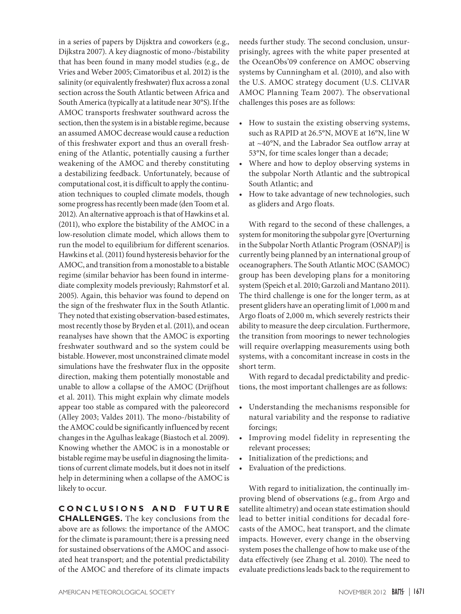in a series of papers by Dijsktra and coworkers (e.g., Dijkstra 2007). A key diagnostic of mono-/bistability that has been found in many model studies (e.g., de Vries and Weber 2005; Cimatoribus et al. 2012) is the salinity (or equivalently freshwater) flux across a zonal section across the South Atlantic between Africa and South America (typically at a latitude near 30°S). If the AMOC transports freshwater southward across the section, then the system is in a bistable regime, because an assumed AMOC decrease would cause a reduction of this freshwater export and thus an overall freshening of the Atlantic, potentially causing a further weakening of the AMOC and thereby constituting a destabilizing feedback. Unfortunately, because of computational cost, it is difficult to apply the continuation techniques to coupled climate models, though some progress has recently been made (den Toom et al. 2012). An alternative approach is that of Hawkins et al. (2011), who explore the bistability of the AMOC in a low-resolution climate model, which allows them to run the model to equilibrium for different scenarios. Hawkins et al. (2011) found hysteresis behavior for the AMOC, and transition from a monostable to a bistable regime (similar behavior has been found in intermediate complexity models previously; Rahmstorf et al. 2005). Again, this behavior was found to depend on the sign of the freshwater flux in the South Atlantic. They noted that existing observation-based estimates, most recently those by Bryden et al. (2011), and ocean reanalyses have shown that the AMOC is exporting freshwater southward and so the system could be bistable. However, most unconstrained climate model simulations have the freshwater flux in the opposite direction, making them potentially monostable and unable to allow a collapse of the AMOC (Drijfhout et al. 2011). This might explain why climate models appear too stable as compared with the paleorecord (Alley 2003; Valdes 2011). The mono-/bistability of the AMOC could be significantly influenced by recent changes in the Agulhas leakage (Biastoch et al. 2009). Knowing whether the AMOC is in a monostable or bistable regime may be useful in diagnosing the limitations of current climate models, but it does not in itself help in determining when a collapse of the AMOC is likely to occur.

**C oncl u sions an d f u t u r e challenges.** The key conclusions from the above are as follows: the importance of the AMOC for the climate is paramount; there is a pressing need for sustained observations of the AMOC and associated heat transport; and the potential predictability of the AMOC and therefore of its climate impacts

needs further study. The second conclusion, unsurprisingly, agrees with the white paper presented at the OceanObs'09 conference on AMOC observing systems by Cunningham et al. (2010), and also with the U.S. AMOC strategy document (U.S. CLIVAR AMOC Planning Team 2007). The observational challenges this poses are as follows:

- • How to sustain the existing observing systems, such as RAPID at 26.5°N, MOVE at 16°N, line W at ~40°N, and the Labrador Sea outflow array at 53°N, for time scales longer than a decade;
- Where and how to deploy observing systems in the subpolar North Atlantic and the subtropical South Atlantic; and
- How to take advantage of new technologies, such as gliders and Argo floats.

With regard to the second of these challenges, a system for monitoring the subpolar gyre [Overturning in the Subpolar North Atlantic Program (OSNAP)] is currently being planned by an international group of oceanographers. The South Atlantic MOC (SAMOC) group has been developing plans for a monitoring system (Speich et al. 2010; Garzoli and Mantano 2011). The third challenge is one for the longer term, as at present gliders have an operating limit of 1,000 m and Argo floats of 2,000 m, which severely restricts their ability to measure the deep circulation. Furthermore, the transition from moorings to newer technologies will require overlapping measurements using both systems, with a concomitant increase in costs in the short term.

With regard to decadal predictability and predictions, the most important challenges are as follows:

- Understanding the mechanisms responsible for natural variability and the response to radiative forcings;
- • Improving model fidelity in representing the relevant processes;
- Initialization of the predictions; and
- Evaluation of the predictions.

With regard to initialization, the continually improving blend of observations (e.g., from Argo and satellite altimetry) and ocean state estimation should lead to better initial conditions for decadal forecasts of the AMOC, heat transport, and the climate impacts. However, every change in the observing system poses the challenge of how to make use of the data effectively (see Zhang et al. 2010). The need to evaluate predictions leads back to the requirement to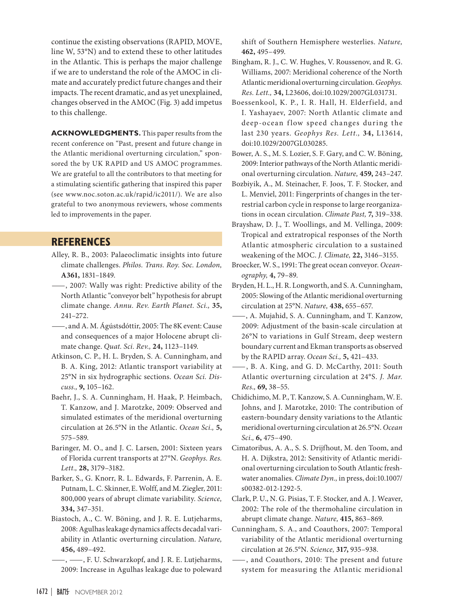continue the existing observations (RAPID, MOVE, line W, 53°N) and to extend these to other latitudes in the Atlantic. This is perhaps the major challenge if we are to understand the role of the AMOC in climate and accurately predict future changes and their impacts. The recent dramatic, and as yet unexplained, changes observed in the AMOC (Fig. 3) add impetus to this challenge.

ACKNOWLEDGMENTS. This paper results from the recent conference on "Past, present and future change in the Atlantic meridional overturning circulation," sponsored the by UK RAPID and US AMOC programmes. We are grateful to all the contributors to that meeting for a stimulating scientific gathering that inspired this paper (see [www.noc.soton.ac.uk/rapid/ic2011/\)](http://www.noc.soton.ac.uk/rapid/ic2011/). We are also grateful to two anonymous reviewers, whose comments led to improvements in the paper.

## **References**

- Alley, R. B., 2003: Palaeoclimatic insights into future climate challenges. *Philos. Trans. Roy. Soc. London,* **A361,** 1831–1849.
- —, 2007: Wally was right: Predictive ability of the North Atlantic "conveyor belt" hypothesis for abrupt climate change. *Annu. Rev. Earth Planet. Sci.,* **35,** 241–272.
- —, and A. M. Ágústsdóttir, 2005: The 8K event: Cause and consequences of a major Holocene abrupt climate change. *Quat. Sci. Rev.,* **24,** 1123–1149.
- Atkinson, C. P., H. L. Bryden, S. A. Cunningham, and B. A. King, 2012: Atlantic transport variability at 25°N in six hydrographic sections. *Ocean Sci. Discuss.,* **9,** 105–162.
- Baehr, J., S. A. Cunningham, H. Haak, P. Heimbach, T. Kanzow, and J. Marotzke, 2009: Observed and simulated estimates of the meridional overturning circulation at 26.5°N in the Atlantic. *Ocean Sci.,* **5,** 575–589.
- Baringer, M. O., and J. C. Larsen, 2001: Sixteen years of Florida current transports at 27°N. *Geophys. Res. Lett.,* **28,** 3179–3182.
- Barker, S., G. Knorr, R. L. Edwards, F. Parrenin, A. E. Putnam, L. C. Skinner, E. Wolff, and M. Ziegler, 2011: 800,000 years of abrupt climate variability. *Science,* **334,** 347–351.
- Biastoch, A., C. W. Böning, and J. R. E. Lutjeharms, 2008: Agulhas leakage dynamics affects decadal variability in Atlantic overturning circulation. *Nature,* **456,** 489–492.
- —, —, F. U. Schwarzkopf, and J. R. E. Lutjeharms, 2009: Increase in Agulhas leakage due to poleward

shift of Southern Hemisphere westerlies. *Nature,* **462,** 495–499.

- Bingham, R. J., C. W. Hughes, V. Roussenov, and R. G. Williams, 2007: Meridional coherence of the North Atlantic meridional overturning circulation. *Geophys. Res. Lett.,* **34,** L23606, [doi:10.1029/2007GL031731](http://dx.doi.org/10.1029/2007GL031731).
- Boessenkool, K. P., I. R. Hall, H. Elderfield, and I. Yashayaev, 2007: North Atlantic climate and deep-ocean flow speed changes during the last 230 years. *Geophys Res. Lett.,* **34,** L13614, [doi:10.1029/2007GL030285.](http://dx.doi.org/10.1029/2007GL030285)
- Bower, A. S., M. S. Lozier, S. F. Gary, and C. W. Böning, 2009: Interior pathways of the North Atlantic meridional overturning circulation. *Nature,* **459,** 243–247.
- Bozbiyik, A., M. Steinacher, F. Joos, T. F. Stocker, and L. Menviel, 2011: Fingerprints of changes in the terrestrial carbon cycle in response to large reorganizations in ocean circulation. *Climate Past,* **7,** 319–338.
- Brayshaw, D. J., T. Woollings, and M. Vellinga, 2009: Tropical and extratropical responses of the North Atlantic atmospheric circulation to a sustained weakening of the MOC. *J. Climate,* **22,** 3146–3155.
- Broecker, W. S., 1991: The great ocean conveyor. *Oceanography,* **4,** 79–89.
- Bryden, H. L., H. R. Longworth, and S. A. Cunningham, 2005: Slowing of the Atlantic meridional overturning circulation at 25°N. *Nature,* **438,** 655–657.
- —, A. Mujahid, S. A. Cunningham, and T. Kanzow, 2009: Adjustment of the basin-scale circulation at 26°N to variations in Gulf Stream, deep western boundary current and Ekman transports as observed by the RAPID array. *Ocean Sci.,* **5,** 421–433.
- —, B. A. King, and G. D. McCarthy, 2011: South Atlantic overturning circulation at 24°S. *J. Mar. Res.,* **69,** 38–55.
- Chidichimo, M. P., T. Kanzow, S. A. Cunningham, W. E. Johns, and J. Marotzke, 2010: The contribution of eastern-boundary density variations to the Atlantic meridional overturning circulation at 26.5°N. *Ocean Sci.,* **6,** 475–490.
- Cimatoribus, A. A., S. S. Drijfhout, M. den Toom, and H. A. Dijkstra, 2012: Sensitivity of Atlantic meridional overturning circulation to South Atlantic freshwater anomalies. *Climate Dyn.,* in press, [doi:10.1007/](http://dx.doi.org/10.1007/s00382-012-1292-5) [s00382-012-1292-5.](http://dx.doi.org/10.1007/s00382-012-1292-5)
- Clark, P. U., N. G. Pisias, T. F. Stocker, and A. J. Weaver, 2002: The role of the thermohaline circulation in abrupt climate change. *Nature,* **415,** 863–869.
- Cunningham, S. A., and Coauthors, 2007: Temporal variability of the Atlantic meridional overturning circulation at 26.5°N. *Science,* **317,** 935–938.
- —, and Coauthors, 2010: The present and future system for measuring the Atlantic meridional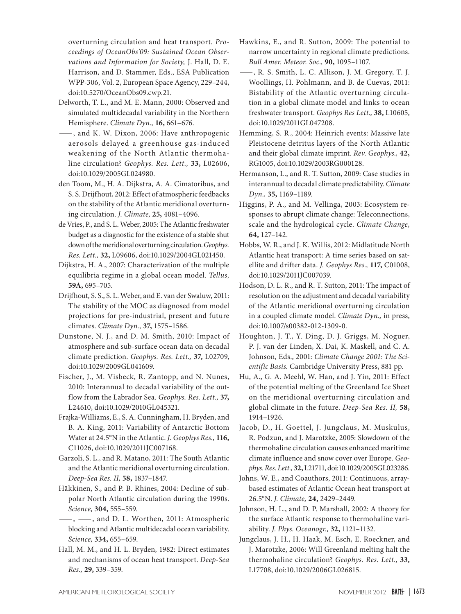overturning circulation and heat transport. *Proceedings of OceanObs'09: Sustained Ocean Observations and Information for Society,* J. Hall, D. E. Harrison, and D. Stammer, Eds., ESA Publication WPP-306, Vol. 2, European Space Agency, 229–244, [doi:10.5270/OceanObs09.cwp.21.](http://dx.doi.org/10.5270/OceanObs09.cwp.21)

- Delworth, T. L., and M. E. Mann, 2000: Observed and simulated multidecadal variability in the Northern Hemisphere. *Climate Dyn.,* **16,** 661–676.
- —, and K. W. Dixon, 2006: Have anthropogenic aerosols delayed a greenhouse gas-induced weakening of the North Atlantic thermohaline circulation? *Geophys. Res. Lett.,* **33,** L02606, [doi:10.1029/2005GL024980.](http://dx.doi.org/10.1029/2005GL024980)
- den Toom, M., H. A. Dijkstra, A. A. Cimatoribus, and S. S. Drijfhout, 2012: Effect of atmospheric feedbacks on the stability of the Atlantic meridional overturning circulation. *J. Climate,* **25,** 4081–4096.
- de Vries, P., and S. L. Weber, 2005: The Atlantic freshwater budget as a diagnostic for the existence of a stable shut down of the meridional overturning circulation. *Geophys. Res. Lett.,* **32,** L09606, [doi:10.1029/2004GL021450.](http://dx.doi.org/10.1029/2004GL021450)
- Dijkstra, H. A., 2007: Characterization of the multiple equilibria regime in a global ocean model. *Tellus,* **59A,** 695–705.
- Drijfhout, S. S., S. L. Weber, and E. van der Swaluw, 2011: The stability of the MOC as diagnosed from model projections for pre-industrial, present and future climates. *Climate Dyn.,* **37,** 1575–1586.
- Dunstone, N. J., and D. M. Smith, 2010: Impact of atmosphere and sub-surface ocean data on decadal climate prediction. *Geophys. Res. Lett.,* **37,** L02709, [doi:10.1029/2009GL041609.](http://dx.doi.org/10.1029/2009GL041609)
- Fischer, J., M. Visbeck, R. Zantopp, and N. Nunes, 2010: Interannual to decadal variability of the outflow from the Labrador Sea. *Geophys. Res. Lett.,* **37,** L24610, [doi:10.1029/2010GL045321.](http://dx.doi.org/10.1029/2010GL045321)
- Frajka-Williams, E., S. A. Cunningham, H. Bryden, and B. A. King, 2011: Variability of Antarctic Bottom Water at 24.5°N in the Atlantic. *J. Geophys Res.,* **116,** C11026, [doi:10.1029/2011JC007168.](http://dx.doi.org/10.1029/2011JC007168)
- Garzoli, S. L., and R. Matano, 2011: The South Atlantic and the Atlantic meridional overturning circulation. *Deep-Sea Res. II,* **58,** 1837–1847.
- Häkkinen, S., and P. B. Rhines, 2004: Decline of subpolar North Atlantic circulation during the 1990s. *Science,* **304,** 555–559.
- —, —, and D. L. Worthen, 2011: Atmospheric blocking and Atlantic multidecadal ocean variability. *Science,* **334,** 655–659.
- Hall, M. M., and H. L. Bryden, 1982: Direct estimates and mechanisms of ocean heat transport. *Deep-Sea Res.,* **29,** 339–359.
- Hawkins, E., and R. Sutton, 2009: The potential to narrow uncertainty in regional climate predictions. *Bull Amer. Meteor. Soc.,* **90,** 1095–1107.
- —, R. S. Smith, L. C. Allison, J. M. Gregory, T. J. Woollings, H. Pohlmann, and B. de Cuevas, 2011: Bistability of the Atlantic overturning circulation in a global climate model and links to ocean freshwater transport. *Geophys Res Lett.,* **38,** L10605, [doi:10.1029/2011GL047208.](http://dx.doi.org/10.1029/2011GL047208)
- Hemming, S. R., 2004: Heinrich events: Massive late Pleistocene detritus layers of the North Atlantic and their global climate imprint. *Rev. Geophys.,* **42,** RG1005, [doi:10.1029/2003RG000128](http://dx.doi.org/10.1029/2003RG000128).
- Hermanson, L., and R. T. Sutton, 2009: Case studies in interannual to decadal climate predictability. *Climate Dyn.,* **35,** 1169–1189.
- Higgins, P. A., and M. Vellinga, 2003: Ecosystem responses to abrupt climate change: Teleconnections, scale and the hydrological cycle. *Climate Change,* **64,** 127–142.
- Hobbs, W. R., and J. K. Willis, 2012: Midlatitude North Atlantic heat transport: A time series based on satellite and drifter data. *J. Geophys Res.,* **117,** C01008, [doi:10.1029/2011JC007039.](http://dx.doi.org/10.1029/2011JC007039)
- Hodson, D. L. R., and R. T. Sutton, 2011: The impact of resolution on the adjustment and decadal variability of the Atlantic meridional overturning circulation in a coupled climate model. *Climate Dyn.,* in press, [doi:10.1007/s00382-012-1309-0.](http://dx.doi.org/10.1007/s00382-012-1309-0)
- Houghton, J. T., Y. Ding, D. J. Griggs, M. Noguer, P. J. van der Linden, X. Dai, K. Maskell, and C. A. Johnson, Eds., 2001: *Climate Change 2001: The Scientific Basis.* Cambridge University Press, 881 pp.
- Hu, A., G. A. Meehl, W. Han, and J. Yin, 2011: Effect of the potential melting of the Greenland Ice Sheet on the meridional overturning circulation and global climate in the future. *Deep-Sea Res. II,* **58,** 1914–1926.
- Jacob, D., H. Goettel, J. Jungclaus, M. Muskulus, R. Podzun, and J. Marotzke, 2005: Slowdown of the thermohaline circulation causes enhanced maritime climate influence and snow cover over Europe. *Geophys. Res. Lett.,***32,** L21711, [doi:10.1029/2005GL023286.](http://dx.doi.org/10.1029/2005GL023286)
- Johns, W. E., and Coauthors, 2011: Continuous, arraybased estimates of Atlantic Ocean heat transport at 26.5°N. *J. Climate,* **24,** 2429–2449.
- Johnson, H. L., and D. P. Marshall, 2002: A theory for the surface Atlantic response to thermohaline variability. *J. Phys. Oceanogr.,* **32,** 1121–1132.
- Jungclaus, J. H., H. Haak, M. Esch, E. Roeckner, and J. Marotzke, 2006: Will Greenland melting halt the thermohaline circulation? *Geophys. Res. Lett.,* **33,** L17708, [doi:10.1029/2006GL026815.](http://dx.doi.org/10.1029/2006GL026815)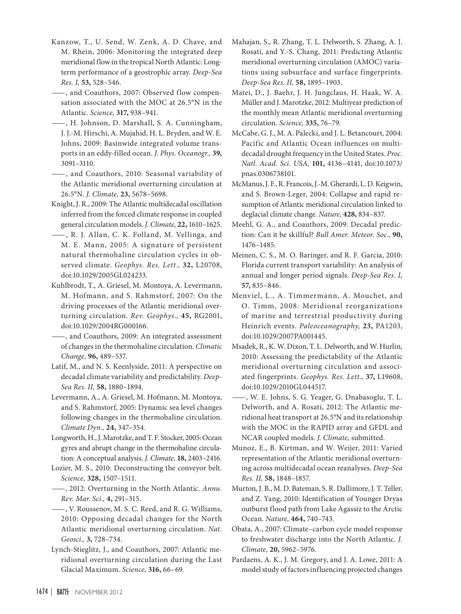- Kanzow, T., U. Send, W. Zenk, A. D. Chave, and M. Rhein, 2006: Monitoring the integrated deep meridional flow in the tropical North Atlantic: Longterm performance of a geostrophic array. *Deep-Sea Res. I,* **53,** 528–546.
- —, and Coauthors, 2007: Observed flow compensation associated with the MOC at 26.5°N in the Atlantic. *Science,* **317,** 938–941.
- —, H. Johnson, D. Marshall, S. A. Cunningham, J. J.-M. Hirschi, A. Mujahid, H. L. Bryden, and W. E. Johns, 2009: Basinwide integrated volume transports in an eddy-filled ocean. *J. Phys. Oceanogr.,* **39,** 3091–3110.
- —, and Coauthors, 2010: Seasonal variability of the Atlantic meridional overturning circulation at 26.5°N. *J. Climate,* **23,** 5678–5698.
- Knight, J. R., 2009: The Atlantic multidecadal oscillation inferred from the forced climate response in coupled general circulation models. *J. Climate,* **22,** 1610–1625.
- —, R. J. Allan, C. K. Folland, M. Vellinga, and M. E. Mann, 2005: A signature of persistent natural thermohaline circulation cycles in observed climate. *Geophys. Res. Lett.,* **32,** L20708, [doi:10.1029/2005GL024233](http://dx.doi.org/10.1029/2005GL024233).
- Kuhlbrodt, T., A. Griesel, M. Montoya, A. Levermann, M. Hofmann, and S. Rahmstorf, 2007: On the driving processes of the Atlantic meridional overturning circulation. *Rev. Geophys.,* **45,** RG2001, [doi:10.1029/2004RG000166](http://dx.doi.org/10.1029/2004RG000166).
- —, and Coauthors, 2009: An integrated assessment of changes in the thermohaline circulation. *Climatic Change,* **96,** 489–537.
- Latif, M., and N. S. Keenlyside, 2011: A perspective on decadal climate variability and predictability. *Deep-Sea Res. II,* **58,** 1880–1894.
- Levermann, A., A. Griesel, M. Hofmann, M. Montoya, and S. Rahmstorf, 2005: Dynamic sea level changes following changes in the thermohaline circulation. *Climate Dyn.,* **24,** 347–354.
- Longworth, H., J. Marotzke, and T. F. Stocker, 2005: Ocean gyres and abrupt change in the thermohaline circulation: A conceptual analysis. *J. Climate,* **18,** 2403–2416.
- Lozier, M. S., 2010: Deconstructing the conveyor belt. *Science,* **328,** 1507–1511.
- —, 2012: Overturning in the North Atlantic. *Annu. Rev. Mar. Sci.,* **4,** 291–315.
- —, V. Roussenov, M. S. C. Reed, and R. G. Williams, 2010: Opposing decadal changes for the North Atlantic meridional overturning circulation. *Nat. Geosci.,* **3,** 728–734.
- Lynch-Stieglitz, J., and Coauthors, 2007: Atlantic meridional overturning circulation during the Last Glacial Maximum. *Science,* **316,** 66–69.
- Mahajan, S., R. Zhang, T. L. Delworth, S. Zhang, A. J. Rosati, and Y.-S. Chang, 2011: Predicting Atlantic meridional overturning circulation (AMOC) variations using subsurface and surface fingerprints. *Deep-Sea Res. II,* **58,** 1895–1903.
- Matei, D., J. Baehr, J. H. Jungclaus, H. Haak, W. A. Müller and J. Marotzke, 2012: Multiyear prediction of the monthly mean Atlantic meridional overturning circulation. *Science,* **335,** 76–79.
- McCabe, G. J., M. A. Palecki, and J. L. Betancourt, 2004: Pacific and Atlantic Ocean influences on multidecadal drought frequency in the United States. *Proc. Natl. Acad. Sci. USA,* **101,** 4136–4141, [doi:10.1073/](http://dx.doi.org/10.1073/pnas.0306738101) [pnas.0306738101.](http://dx.doi.org/10.1073/pnas.0306738101)
- McManus, J. F., R. Francois, J.-M. Gherardi, L. D. Keigwin, and S. Brown-Leger, 2004: Collapse and rapid resumption of Atlantic meridional circulation linked to deglacial climate change. *Nature,* **428,** 834–837.
- Meehl, G. A., and Coauthors, 2009: Decadal prediction: Can it be skillful? *Bull Amer. Meteor. Soc.,* **90,** 1476–1485.
- Meinen, C. S., M. O. Baringer, and R. F. Garcia, 2010: Florida current transport variability: An analysis of annual and longer period signals. *Deep-Sea Res. I,* **57,** 835–846.
- Menviel, L., A. Timmermann, A. Mouchet, and O. Timm, 2008: Meridional reorganizations of marine and terrestrial productivity during Heinrich events. *Paleoceanography,* **23,** PA1203, [doi:10.1029/2007PA001445.](http://dx.doi.org/10.1029/2007PA001445)
- Msadek, R., K. W. Dixon, T. L. Delworth, and W. Hurlin, 2010: Assessing the predictability of the Atlantic meridional overturning circulation and associated fingerprints. *Geophys. Res. Lett.,* **37,** L19608, [doi:10.1029/2010GL044517](http://dx.doi.org/10.1029/2010GL044517).
- —, W. E. Johns, S. G. Yeager, G. Dnabasoglu, T. L. Delworth, and A. Rosati, 2012: The Atlantic meridional heat transport at 26.5°N and its relationship with the MOC in the RAPID array and GFDL and NCAR coupled models. *J. Climate,* submitted.
- Munoz, E., B. Kirtman, and W. Weijer, 2011: Varied representation of the Atlantic meridional overturning across multidecadal ocean reanalyses. *Deep-Sea Res. II,* **58,** 1848–1857.
- Murton, J. B., M. D. Bateman, S. R. Dallimore, J. T. Teller, and Z. Yang, 2010: Identification of Younger Dryas outburst flood path from Lake Agassiz to the Arctic Ocean. *Nature,* **464,** 740–743.
- Obata, A., 2007: Climate–carbon cycle model response to freshwater discharge into the North Atlantic. *J. Climate,* **20,** 5962–5976.
- Pardaens, A. K., J. M. Gregory, and J. A. Lowe, 2011: A model study of factors influencing projected changes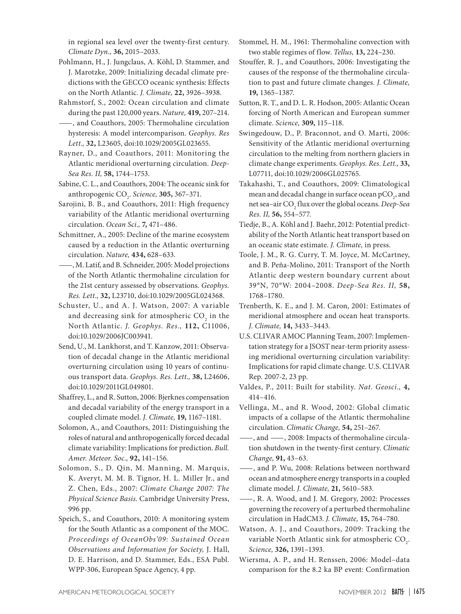in regional sea level over the twenty-first century. *Climate Dyn.,* **36,** 2015–2033.

- Pohlmann, H., J. Jungclaus, A. Köhl, D. Stammer, and J. Marotzke, 2009: Initializing decadal climate predictions with the GECCO oceanic synthesis: Effects on the North Atlantic. *J. Climate,* **22,** 3926–3938.
- Rahmstorf, S., 2002: Ocean circulation and climate during the past 120,000 years. *Nature,* **419,** 207–214.
- —, and Coauthors, 2005: Thermohaline circulation hysteresis: A model intercomparison. *Geophys. Res Lett.,* **32,** L23605, [doi:10.1029/2005GL023655.](http://dx.doi.org/10.1029/2005GL023655)
- Rayner, D., and Coauthors, 2011: Monitoring the Atlantic meridional overturning circulation. *Deep-Sea Res. II,* **58,** 1744–1753.
- Sabine, C. L., and Coauthors, 2004: The oceanic sink for anthropogenic CO2 . *Science,* **305,** 367–371.
- Sarojini, B. B., and Coauthors, 2011: High frequency variability of the Atlantic meridional overturning circulation. *Ocean Sci.,* **7,** 471–486.
- Schmittner, A., 2005: Decline of the marine ecosystem caused by a reduction in the Atlantic overturning circulation. *Nature,* **434,** 628–633.
- —, M. Latif, and B. Schneider, 2005: Model projections of the North Atlantic thermohaline circulation for the 21st century assessed by observations. *Geophys. Res. Lett.,* **32,** L23710, [doi:10.1029/2005GL024368](http://dx.doi.org/10.1029/2005GL024368).
- Schuster, U., and A. J. Watson, 2007: A variable and decreasing sink for atmospheric  $\mathrm{CO}_2^{}$  in the North Atlantic. *J. Geophys. Res.,* **112,** C11006, [doi:10.1029/2006JC003941.](http://dx.doi.org/10.1029/2006JC003941)
- Send, U., M. Lankhorst, and T. Kanzow, 2011: Observation of decadal change in the Atlantic meridional overturning circulation using 10 years of continuous transport data. *Geophys. Res. Lett.,* **38,** L24606, [doi:10.1029/2011GL049801](http://dx.doi.org/10.1029/2011GL049801).
- Shaffrey, L., and R. Sutton, 2006: Bjerknes compensation and decadal variability of the energy transport in a coupled climate model. *J. Climate,* **19,** 1167–1181.
- Solomon, A., and Coauthors, 2011: Distinguishing the roles of natural and anthropogenically forced decadal climate variability: Implications for prediction. *Bull. Amer. Meteor. Soc.,* **92,** 141–156.
- Solomon, S., D. Qin, M. Manning, M. Marquis, K. Averyt, M. M. B. Tignor, H. L. Miller Jr., and Z. Chen, Eds., 2007: *Climate Change 2007: The Physical Science Basis.* Cambridge University Press, 996 pp.
- Speich, S., and Coauthors, 2010: A monitoring system for the South Atlantic as a component of the MOC*. Proceedings of OceanObs'09: Sustained Ocean Observations and Information for Society,* J. Hall, D. E. Harrison, and D. Stammer, Eds., ESA Publ. WPP-306, European Space Agency, 4 pp.
- Stommel, H. M., 1961: Thermohaline convection with two stable regimes of flow. *Tellus,* **13,** 224–230.
- Stouffer, R. J., and Coauthors, 2006: Investigating the causes of the response of the thermohaline circulation to past and future climate changes. *J. Climate,* **19,** 1365–1387.
- Sutton, R. T., and D. L. R. Hodson, 2005: Atlantic Ocean forcing of North American and European summer climate. *Science,* **309,** 115–118.
- Swingedouw, D., P. Braconnot, and O. Marti, 2006: Sensitivity of the Atlantic meridional overturning circulation to the melting from northern glaciers in climate change experiments. *Geophys. Res. Lett.,* **33,** L07711, [doi:10.1029/2006GL025765.](http://dx.doi.org/10.1029/2006GL025765)
- Takahashi, T., and Coauthors, 2009: Climatological mean and decadal change in surface ocean pCO<sub>2</sub>, and net sea–air CO2 flux over the global oceans. *Deep-Sea Res. II,* **56,** 554–577.
- Tiedje, B., A. Köhl and J. Baehr, 2012: Potential predictability of the North Atlantic heat transport based on an oceanic state estimate. *J. Climate,* in press.
- Toole, J. M., R. G. Curry, T. M. Joyce, M. McCartney, and B. Peña-Molino, 2011: Transport of the North Atlantic deep western boundary current about 39°N, 70°W: 2004–2008. *Deep-Sea Res. II,* **58,** 1768–1780.
- Trenberth, K. E., and J. M. Caron, 2001: Estimates of meridional atmosphere and ocean heat transports. *J. Climate,* **14,** 3433–3443.
- U.S. CLIVAR AMOC Planning Team, 2007: Implementation strategy for a JSOST near-term priority assessing meridional overturning circulation variability: Implications for rapid climate change. U.S. CLIVAR Rep. 2007-2, 23 pp.
- Valdes, P., 2011: Built for stability. *Nat. Geosci.,* **4,** 414–416.
- Vellinga, M., and R. Wood, 2002: Global climatic impacts of a collapse of the Atlantic thermohaline circulation. *Climatic Change,* **54,** 251–267.
- —, and —, 2008: Impacts of thermohaline circulation shutdown in the twenty-first century. *Climatic Change,* **91,** 43–63.
- —, and P. Wu, 2008: Relations between northward ocean and atmosphere energy transports in a coupled climate model. *J. Climate,* **21,** 5610–583.
- —, R. A. Wood, and J. M. Gregory, 2002: Processes governing the recovery of a perturbed thermohaline circulation in HadCM3. *J. Climate,* **15,** 764–780.
- Watson, A. J., and Coauthors, 2009: Tracking the variable North Atlantic sink for atmospheric  $\text{CO}_2$ . *Science,* **326,** 1391–1393.
- Wiersma, A. P., and H. Renssen, 2006: Model–data comparison for the 8.2 ka BP event: Confirmation